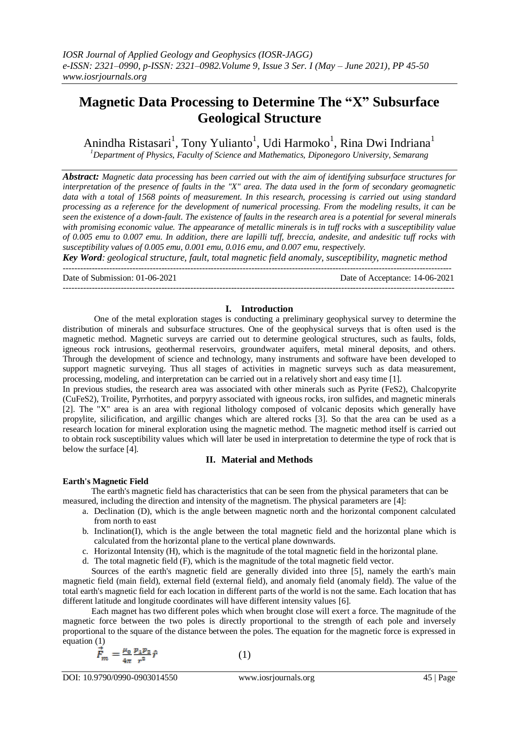# **Magnetic Data Processing to Determine The "X" Subsurface Geological Structure**

Anindha Ristasari<sup>1</sup>, Tony Yulianto<sup>1</sup>, Udi Harmoko<sup>1</sup>, Rina Dwi Indriana<sup>1</sup>

*<sup>1</sup>Department of Physics, Faculty of Science and Mathematics, Diponegoro University, Semarang*

*Abstract: Magnetic data processing has been carried out with the aim of identifying subsurface structures for interpretation of the presence of faults in the "X" area. The data used in the form of secondary geomagnetic data with a total of 1568 points of measurement. In this research, processing is carried out using standard processing as a reference for the development of numerical processing. From the modeling results, it can be seen the existence of a down-fault. The existence of faults in the research area is a potential for several minerals with promising economic value. The appearance of metallic minerals is in tuff rocks with a susceptibility value of 0.005 emu to 0.007 emu. In addition, there are lapilli tuff, breccia, andesite, and andesitic tuff rocks with susceptibility values of 0.005 emu, 0.001 emu, 0.016 emu, and 0.007 emu, respectively.*

*Key Word: geological structure, fault, total magnetic field anomaly, susceptibility, magnetic method*  --------------------------------------------------------------------------------------------------------------------------------------

---------------------------------------------------------------------------------------------------------------------------------------

Date of Submission: 01-06-2021 Date of Acceptance: 14-06-2021

## **I. Introduction**

One of the metal exploration stages is conducting a preliminary geophysical survey to determine the distribution of minerals and subsurface structures. One of the geophysical surveys that is often used is the magnetic method. Magnetic surveys are carried out to determine geological structures, such as faults, folds, igneous rock intrusions, geothermal reservoirs, groundwater aquifers, metal mineral deposits, and others. Through the development of science and technology, many instruments and software have been developed to support magnetic surveying. Thus all stages of activities in magnetic surveys such as data measurement, processing, modeling, and interpretation can be carried out in a relatively short and easy time [1].

In previous studies, the research area was associated with other minerals such as Pyrite (FeS2), Chalcopyrite (CuFeS2), Troilite, Pyrrhotites, and porpyry associated with igneous rocks, iron sulfides, and magnetic minerals [2]. The "X" area is an area with regional lithology composed of volcanic deposits which generally have propylite, silicification, and argillic changes which are altered rocks [3]. So that the area can be used as a research location for mineral exploration using the magnetic method. The magnetic method itself is carried out to obtain rock susceptibility values which will later be used in interpretation to determine the type of rock that is below the surface [4].

## **II. Material and Methods**

## **Earth's Magnetic Field**

The earth's magnetic field has characteristics that can be seen from the physical parameters that can be measured, including the direction and intensity of the magnetism. The physical parameters are [4]:

- a. Declination (D), which is the angle between magnetic north and the horizontal component calculated from north to east
- b. Inclination(I), which is the angle between the total magnetic field and the horizontal plane which is calculated from the horizontal plane to the vertical plane downwards.
- c. Horizontal Intensity (H), which is the magnitude of the total magnetic field in the horizontal plane.
- d. The total magnetic field (F), which is the magnitude of the total magnetic field vector.

Sources of the earth's magnetic field are generally divided into three [5], namely the earth's main magnetic field (main field), external field (external field), and anomaly field (anomaly field). The value of the total earth's magnetic field for each location in different parts of the world is not the same. Each location that has different latitude and longitude coordinates will have different intensity values [6].

Each magnet has two different poles which when brought close will exert a force. The magnitude of the magnetic force between the two poles is directly proportional to the strength of each pole and inversely proportional to the square of the distance between the poles. The equation for the magnetic force is expressed in equation (1)

$$
\vec{F}_m = \frac{\mu_0}{4\pi} \frac{p_1 p_2}{r^2} \hat{r}
$$
 (1)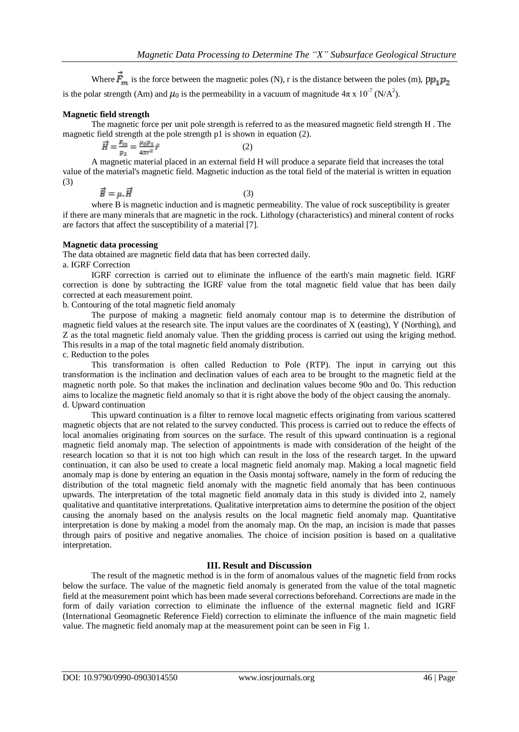Where  $\vec{F}_m$  is the force between the magnetic poles (N), r is the distance between the poles (m),  $pp_1p_2$ is the polar strength (Am) and  $\mu_0$  is the permeability in a vacuum of magnitude  $4\pi \times 10^{-7}$  (N/A<sup>2</sup>).

#### **Magnetic field strength**

The magnetic force per unit pole strength is referred to as the measured magnetic field strength H . The magnetic field strength at the pole strength p1 is shown in equation (2).

$$
\vec{q} = \frac{F_m}{p_2} = \frac{\mu_0 p_1}{4\pi r^2} \hat{r}
$$
 (2)

A magnetic material placed in an external field H will produce a separate field that increases the total value of the material's magnetic field. Magnetic induction as the total field of the material is written in equation (3)

$$
\vec{B} = \mu \cdot \vec{H} \tag{3}
$$

where B is magnetic induction and is magnetic permeability. The value of rock susceptibility is greater if there are many minerals that are magnetic in the rock. Lithology (characteristics) and mineral content of rocks are factors that affect the susceptibility of a material [7].

#### **Magnetic data processing**

The data obtained are magnetic field data that has been corrected daily.

## a. IGRF Correction

IGRF correction is carried out to eliminate the influence of the earth's main magnetic field. IGRF correction is done by subtracting the IGRF value from the total magnetic field value that has been daily corrected at each measurement point.

b. Contouring of the total magnetic field anomaly

The purpose of making a magnetic field anomaly contour map is to determine the distribution of magnetic field values at the research site. The input values are the coordinates of X (easting), Y (Northing), and Z as the total magnetic field anomaly value. Then the gridding process is carried out using the kriging method. This results in a map of the total magnetic field anomaly distribution.

c. Reduction to the poles

This transformation is often called Reduction to Pole (RTP). The input in carrying out this transformation is the inclination and declination values of each area to be brought to the magnetic field at the magnetic north pole. So that makes the inclination and declination values become 90o and 0o. This reduction aims to localize the magnetic field anomaly so that it is right above the body of the object causing the anomaly. d. Upward continuation

This upward continuation is a filter to remove local magnetic effects originating from various scattered magnetic objects that are not related to the survey conducted. This process is carried out to reduce the effects of local anomalies originating from sources on the surface. The result of this upward continuation is a regional magnetic field anomaly map. The selection of appointments is made with consideration of the height of the research location so that it is not too high which can result in the loss of the research target. In the upward continuation, it can also be used to create a local magnetic field anomaly map. Making a local magnetic field anomaly map is done by entering an equation in the Oasis montaj software, namely in the form of reducing the distribution of the total magnetic field anomaly with the magnetic field anomaly that has been continuous upwards. The interpretation of the total magnetic field anomaly data in this study is divided into 2, namely qualitative and quantitative interpretations. Qualitative interpretation aims to determine the position of the object causing the anomaly based on the analysis results on the local magnetic field anomaly map. Quantitative interpretation is done by making a model from the anomaly map. On the map, an incision is made that passes through pairs of positive and negative anomalies. The choice of incision position is based on a qualitative interpretation.

## **III. Result and Discussion**

The result of the magnetic method is in the form of anomalous values of the magnetic field from rocks below the surface. The value of the magnetic field anomaly is generated from the value of the total magnetic field at the measurement point which has been made several corrections beforehand. Corrections are made in the form of daily variation correction to eliminate the influence of the external magnetic field and IGRF (International Geomagnetic Reference Field) correction to eliminate the influence of the main magnetic field value. The magnetic field anomaly map at the measurement point can be seen in Fig 1.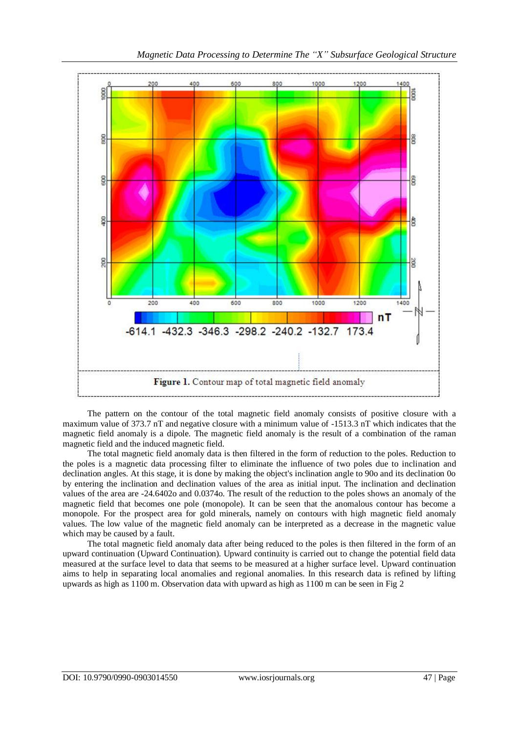

The pattern on the contour of the total magnetic field anomaly consists of positive closure with a maximum value of 373.7 nT and negative closure with a minimum value of -1513.3 nT which indicates that the magnetic field anomaly is a dipole. The magnetic field anomaly is the result of a combination of the raman magnetic field and the induced magnetic field.

The total magnetic field anomaly data is then filtered in the form of reduction to the poles. Reduction to the poles is a magnetic data processing filter to eliminate the influence of two poles due to inclination and declination angles. At this stage, it is done by making the object's inclination angle to 90o and its declination 0o by entering the inclination and declination values of the area as initial input. The inclination and declination values of the area are -24.6402o and 0.0374o. The result of the reduction to the poles shows an anomaly of the magnetic field that becomes one pole (monopole). It can be seen that the anomalous contour has become a monopole. For the prospect area for gold minerals, namely on contours with high magnetic field anomaly values. The low value of the magnetic field anomaly can be interpreted as a decrease in the magnetic value which may be caused by a fault.

The total magnetic field anomaly data after being reduced to the poles is then filtered in the form of an upward continuation (Upward Continuation). Upward continuity is carried out to change the potential field data measured at the surface level to data that seems to be measured at a higher surface level. Upward continuation aims to help in separating local anomalies and regional anomalies. In this research data is refined by lifting upwards as high as 1100 m. Observation data with upward as high as 1100 m can be seen in Fig 2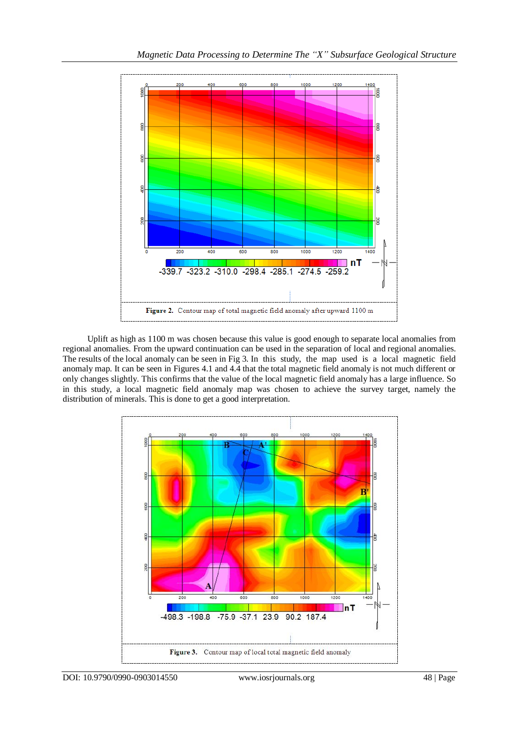

Uplift as high as 1100 m was chosen because this value is good enough to separate local anomalies from regional anomalies. From the upward continuation can be used in the separation of local and regional anomalies. The results of the local anomaly can be seen in Fig 3. In this study, the map used is a local magnetic field anomaly map. It can be seen in Figures 4.1 and 4.4 that the total magnetic field anomaly is not much different or only changes slightly. This confirms that the value of the local magnetic field anomaly has a large influence. So in this study, a local magnetic field anomaly map was chosen to achieve the survey target, namely the distribution of minerals. This is done to get a good interpretation.

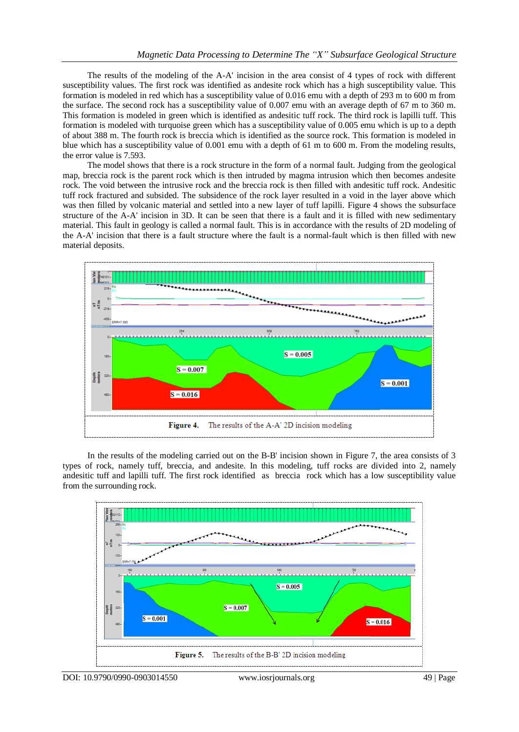The results of the modeling of the A-A' incision in the area consist of 4 types of rock with different susceptibility values. The first rock was identified as andesite rock which has a high susceptibility value. This formation is modeled in red which has a susceptibility value of 0.016 emu with a depth of 293 m to 600 m from the surface. The second rock has a susceptibility value of 0.007 emu with an average depth of 67 m to 360 m. This formation is modeled in green which is identified as andesitic tuff rock. The third rock is lapilli tuff. This formation is modeled with turquoise green which has a susceptibility value of 0.005 emu which is up to a depth of about 388 m. The fourth rock is breccia which is identified as the source rock. This formation is modeled in blue which has a susceptibility value of 0.001 emu with a depth of 61 m to 600 m. From the modeling results, the error value is 7.593.

The model shows that there is a rock structure in the form of a normal fault. Judging from the geological map, breccia rock is the parent rock which is then intruded by magma intrusion which then becomes andesite rock. The void between the intrusive rock and the breccia rock is then filled with andesitic tuff rock. Andesitic tuff rock fractured and subsided. The subsidence of the rock layer resulted in a void in the layer above which was then filled by volcanic material and settled into a new layer of tuff lapilli. Figure 4 shows the subsurface structure of the A-A' incision in 3D. It can be seen that there is a fault and it is filled with new sedimentary material. This fault in geology is called a normal fault. This is in accordance with the results of 2D modeling of the A-A' incision that there is a fault structure where the fault is a normal-fault which is then filled with new material deposits.



In the results of the modeling carried out on the B-B' incision shown in Figure 7, the area consists of 3 types of rock, namely tuff, breccia, and andesite. In this modeling, tuff rocks are divided into 2, namely andesitic tuff and lapilli tuff. The first rock identified as breccia rock which has a low susceptibility value from the surrounding rock.